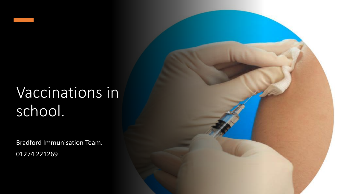# Vaccinations in school.

Bradford Immunisation Team. 01274 221269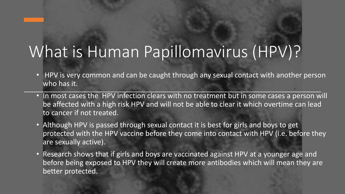# What is Human Papillomavirus (HPV)?

- HPV is very common and can be caught through any sexual contact with another person who has it.
- In most cases the HPV infection clears with no treatment but in some cases a person will be affected with a high risk HPV and will not be able to clear it which overtime can lead to cancer if not treated.
- Although HPV is passed through sexual contact it is best for girls and boys to get protected with the HPV vaccine before they come into contact with HPV (i.e. before they are sexually active).
- Research shows that if girls and boys are vaccinated against HPV at a younger age and before being exposed to HPV they will create more antibodies which will mean they are better protected.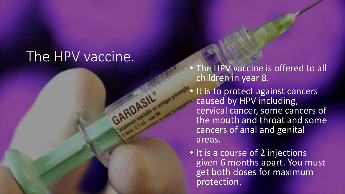### The HPV vaccine.

The HPV vaccine is offered to all children in year 8.

- It is to protect against cancers caused by HPV including, cervical cancer, some cancers of the mouth and throat and some cancers of anal and genital areas.
- It is a course of 2 injections given 6 months apart. You must get both doses for maximum protection.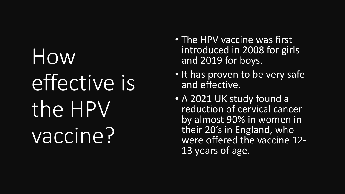# How effective is the HPV vaccine?

- The HPV vaccine was first introduced in 2008 for girls and 2019 for boys.
- It has proven to be very safe and effective.
- A 2021 UK study found a reduction of cervical cancer by almost 90% in women in their 20's in England, who were offered the vaccine 12- 13 years of age.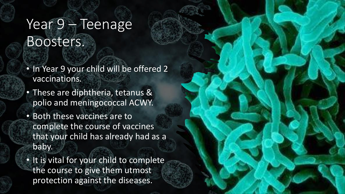## Year 9 – Teenage Boosters.

- In Year 9 your child will be offered 2 vaccinations.
- These are diphtheria, tetanus & polio and meningococcal ACWY.
- Both these vaccines are to complete the course of vaccines that your child has already had as a baby.
- It is vital for your child to complete the course to give them utmost protection against the diseases.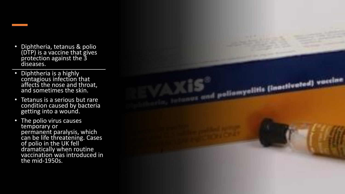- Diphtheria, tetanus & polio (DTP) is a vaccine that gives protection against the 3 diseases.
- Diphtheria is a highly contagious infection that affects the nose and throat, and sometimes the skin.
- Tetanus is a serious but rare condition caused by bacteria getting into a wound.
- The polio virus causes temporary or permanent paralysis, which can be life threatening. Cases of polio in the UK fell dramatically when routine vaccination was introduced in the mid-1950s.

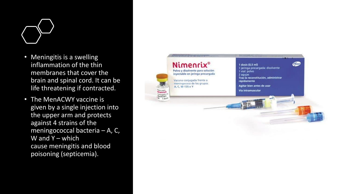

- Meningitis is a swelling inflammation of the thin membranes that cover the brain and spinal cord. It can be life threatening if contracted.
- The MenACWY vaccine is given by a single injection into the upper arm and protects against 4 strains of the meningococcal bacteria – A, C, W and  $Y$  – which cause meningitis and blood poisoning (septicemia).

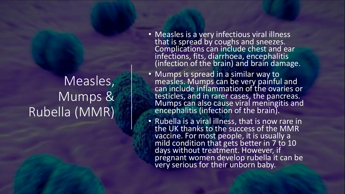## Measles, Mumps & Rubella (MMR)

- Measles is a very infectious viral illness that is spread by coughs and sneezes. Complications can include chest and ear infections, fits, diarrhoea, encephalitis (infection of the brain) and brain damage.
- Mumps is spread in a similar way to measles. Mumps can be very painful and can include inflammation of the ovaries or testicles, and in rarer cases, the pancreas. Mumps can also cause viral meningitis and encephalitis (infection of the brain).
- Rubella is a viral illness, that is now rare in the UK thanks to the success of the MMR vaccine. For most people, it is usually a mild condition that gets better in 7 to 10 days without treatment. However, if pregnant women develop rubella it can be very serious for their unborn baby.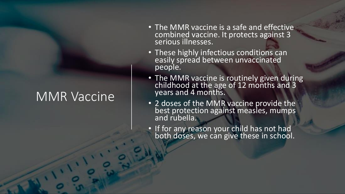#### MMR Vaccine

- The MMR vaccine is a safe and effective combined vaccine. It protects against 3 serious illnesses.
- These highly infectious conditions can easily spread between unvaccinated people.
- The MMR vaccine is routinely given during childhood at the age of 12 months and 3 years and 4 months.
- 2 doses of the MMR vaccine provide the best protection against measles, mumps and rubella.
- If for any reason your child has not had both doses, we can give these in school.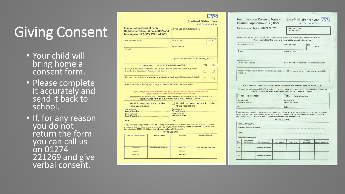# Giving Consent

- Your child will bring home a consent form.
- Please complete it accurately and send it back to school.
- If, for any reason you do not  $r$ eturn the form you can call us on 01274 221269 and give verbal consent.

|                                                                                                                                                                                                                                                                                                                    | <b>Bradford District Care</b>                                | <b>NHS Foundation Trust</b>     |            |
|--------------------------------------------------------------------------------------------------------------------------------------------------------------------------------------------------------------------------------------------------------------------------------------------------------------------|--------------------------------------------------------------|---------------------------------|------------|
| <b>Immunisation Consent Form -</b><br>Diphtheria, Tetanus & Polio (DTP) and<br><b>Meningococcal ACWY (MEN ACWY)</b>                                                                                                                                                                                                | <b>OFFICE USE ONLY, NHS Number:</b>                          |                                 |            |
| Full name of child:                                                                                                                                                                                                                                                                                                | Date of birth:                                               |                                 | Sex: M / F |
| School:                                                                                                                                                                                                                                                                                                            | Home address:                                                |                                 |            |
|                                                                                                                                                                                                                                                                                                                    | Daytime contact telephone for parent/guardian:               |                                 |            |
| PLEASE COMPLETE THIS IMPORTANT INFORMATION                                                                                                                                                                                                                                                                         |                                                              | <b>YES</b>                      | <b>NO</b>  |
| Does your child have any bleeding disorders or medical conditions which may affect<br>them having this vaccine? Please provide details:                                                                                                                                                                            |                                                              |                                 |            |
| Has your child suffered any reactions to any previous vaccinations? Please provide details:                                                                                                                                                                                                                        |                                                              |                                 |            |
| If you change your mind after submitting this consent form or have any further queries,<br>please contact the Immunisation Team on 01274 221269                                                                                                                                                                    |                                                              |                                 |            |
| Consent for DTP & MEN ACWY : I have read and understand the information about these vaccines.                                                                                                                                                                                                                      | NOTE: PLEASE RETURN THIS FORM EVEN IF YOU DO NOT CONSENT     |                                 |            |
| Yes - I do want my child to receive<br>these vaccinations                                                                                                                                                                                                                                                          | No - I do not want my child to receive<br>these vaccinations |                                 |            |
| <b>Signature of</b>                                                                                                                                                                                                                                                                                                | <b>Signature of</b><br>Parent/Guardian                       |                                 |            |
| Parent/Guardian<br>Print name of<br>Parent/Guardian                                                                                                                                                                                                                                                                | Print name of<br>Parent/Guardian                             |                                 |            |
| Date                                                                                                                                                                                                                                                                                                               | <b>Date</b>                                                  |                                 |            |
| If you have any compliments, concerns or complaints, please let us know. We learn from all the comments<br>we receive and use them to improve our service. If you have a concern, please contact Patient Advice and<br>Complaints on 01274 251440 or email advice.complaints@bdct.nhs.uk<br><b>OFFICE USE ONLY</b> |                                                              |                                 |            |
| <b>Given by (Name)</b><br>Date vaccine administered                                                                                                                                                                                                                                                                | Signature                                                    | Location of session             |            |
| <b>Batch Number/Expiry Date</b><br>Dip/Tet/Pol<br>Left Arm                                                                                                                                                                                                                                                         | <b>Men ACWY</b><br>Left Arm                                  | <b>Batch Number/Expiry Date</b> |            |

| munisation Consent Form -<br>man Papillomavirus (HPV)                                                                                                                                                                                                                                                                                                                                                                                                                                                                                                                            |                                                                 | <b>Bradford District Care NHS</b><br><b>NHS Foundation Trust</b> |  |  |
|----------------------------------------------------------------------------------------------------------------------------------------------------------------------------------------------------------------------------------------------------------------------------------------------------------------------------------------------------------------------------------------------------------------------------------------------------------------------------------------------------------------------------------------------------------------------------------|-----------------------------------------------------------------|------------------------------------------------------------------|--|--|
| nunisation Team - 01274 221203                                                                                                                                                                                                                                                                                                                                                                                                                                                                                                                                                   | <b>NHS NUMBER:</b>                                              | OFFICE USE ONLY.                                                 |  |  |
| ire offering your child the HPV vaccination - on the reverse is a letter with further information                                                                                                                                                                                                                                                                                                                                                                                                                                                                                | Please complete this form and return it to school within 7 days |                                                                  |  |  |
| name of child:                                                                                                                                                                                                                                                                                                                                                                                                                                                                                                                                                                   | Date of birth:                                                  | Sex<br>M/F                                                       |  |  |
| :loc                                                                                                                                                                                                                                                                                                                                                                                                                                                                                                                                                                             | Home address:                                                   |                                                                  |  |  |
| d's Tutor Group:                                                                                                                                                                                                                                                                                                                                                                                                                                                                                                                                                                 |                                                                 | Daytime contact telephone for parent/quardian:                   |  |  |
|                                                                                                                                                                                                                                                                                                                                                                                                                                                                                                                                                                                  |                                                                 |                                                                  |  |  |
| If you have any queries or concerns, please contact the Immunisation team on 01274 221203                                                                                                                                                                                                                                                                                                                                                                                                                                                                                        |                                                                 |                                                                  |  |  |
|                                                                                                                                                                                                                                                                                                                                                                                                                                                                                                                                                                                  | NOTE: PLEASE RETURN THIS FORM EVEN IF YOU DO NOT CONSENT        |                                                                  |  |  |
|                                                                                                                                                                                                                                                                                                                                                                                                                                                                                                                                                                                  | NO-I do not consent<br>Signature of<br>Parent/Guardian          |                                                                  |  |  |
|                                                                                                                                                                                                                                                                                                                                                                                                                                                                                                                                                                                  | Date                                                            |                                                                  |  |  |
|                                                                                                                                                                                                                                                                                                                                                                                                                                                                                                                                                                                  |                                                                 |                                                                  |  |  |
| se provide below details of any health or medical conditions your child may have, that we should be<br>re of:<br>isent for both doses of HPV Vaccination: I have read and understand the information about this vaccine.<br>YES - I do consent<br>ature of<br>nt/Guardian<br>have any compliments, concerns or complaints, please let us know. We learn from all the comments<br>ceive and use them to improve our service. If you have a concern, please contact Patient Advice &<br>laints. Call on 01274 251440 or email advice.complaints@bdct.nhs.uk<br><b>BAL CONSENT:</b> | <b>OFFICE USE ONLY</b>                                          |                                                                  |  |  |

Given by<br>(Please Sign)

 $Im$ Hu

We Ful

Chi

Sign<br>Pare Dat

we re

VER  $Na$ Dat

 $2nd$ 

Nurse taking consen Date vaccine

Site (Please circle)

Left Arm / Right Arm

Left Arm / Right Arm

**Batch Number** 

**Expiry Date** 

| Date vaccine administered                   | Given by (Name)                 | Signature                                       | Location of session             |
|---------------------------------------------|---------------------------------|-------------------------------------------------|---------------------------------|
| Dip/Tet/Pol<br>Left Arm<br><b>Right Arm</b> | <b>Batch Number/Expiry Date</b> | <b>Men ACWY</b><br>Left Arm<br><b>Right Arm</b> | <b>Batch Number/Expiry Date</b> |